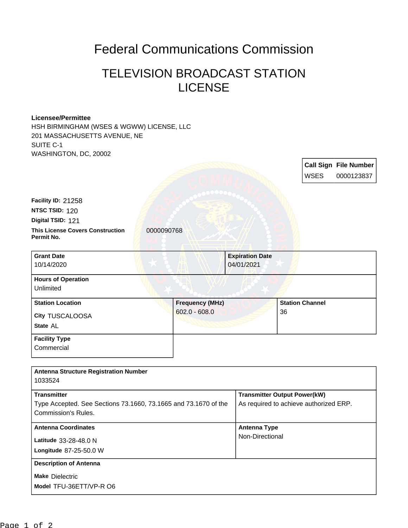## Federal Communications Commission

## TELEVISION BROADCAST STATION LICENSE

## **Licensee/Permittee**

HSH BIRMINGHAM (WSES & WGWW) LICENSE, LLC 201 MASSACHUSETTS AVENUE, NE SUITE C-1 WASHINGTON, DC, 20002

|                                                                                               |                        |                                      | <b>Call Sign File Number</b><br><b>WSES</b><br>0000123837 |
|-----------------------------------------------------------------------------------------------|------------------------|--------------------------------------|-----------------------------------------------------------|
| Facility ID: 21258                                                                            |                        |                                      |                                                           |
| NTSC TSID: 120                                                                                |                        |                                      |                                                           |
| Digital TSID: 121                                                                             |                        |                                      |                                                           |
| <b>This License Covers Construction</b><br>Permit No.                                         | 0000090768             |                                      |                                                           |
| <b>Grant Date</b><br>10/14/2020                                                               |                        | <b>Expiration Date</b><br>04/01/2021 |                                                           |
| <b>Hours of Operation</b><br>Unlimited                                                        |                        |                                      |                                                           |
| <b>Station Location</b>                                                                       | <b>Frequency (MHz)</b> |                                      | <b>Station Channel</b>                                    |
| <b>City TUSCALOOSA</b>                                                                        | $602.0 - 608.0$        |                                      | 36                                                        |
| State AL                                                                                      |                        |                                      |                                                           |
| <b>Facility Type</b>                                                                          |                        |                                      |                                                           |
| Commercial                                                                                    |                        |                                      |                                                           |
| <b>Antenna Structure Registration Number</b><br>1033524                                       |                        |                                      |                                                           |
|                                                                                               |                        |                                      |                                                           |
| <b>Transmitter</b>                                                                            |                        |                                      | <b>Transmitter Output Power(kW)</b>                       |
| Type Accepted. See Sections 73.1660, 73.1665 and 73.1670 of the<br><b>Commission's Rules.</b> |                        |                                      | As required to achieve authorized ERP.                    |
| <b>Antenna Coordinates</b>                                                                    |                        | <b>Antenna Type</b>                  |                                                           |

| Antonna Otractare Regionation Namber                            |                                        |  |
|-----------------------------------------------------------------|----------------------------------------|--|
| 1033524                                                         |                                        |  |
| <b>Transmitter</b>                                              | <b>Transmitter Output Power(kW)</b>    |  |
| Type Accepted. See Sections 73.1660, 73.1665 and 73.1670 of the | As required to achieve authorized ERP. |  |
| Commission's Rules.                                             |                                        |  |
|                                                                 |                                        |  |
| <b>Antenna Coordinates</b>                                      | <b>Antenna Type</b>                    |  |
| Latitude 33-28-48.0 N                                           | Non-Directional                        |  |
| Longitude 87-25-50.0 W                                          |                                        |  |
| <b>Description of Antenna</b>                                   |                                        |  |
| <b>Make Dielectric</b>                                          |                                        |  |
| Model TFU-36ETT/VP-R O6                                         |                                        |  |
|                                                                 |                                        |  |